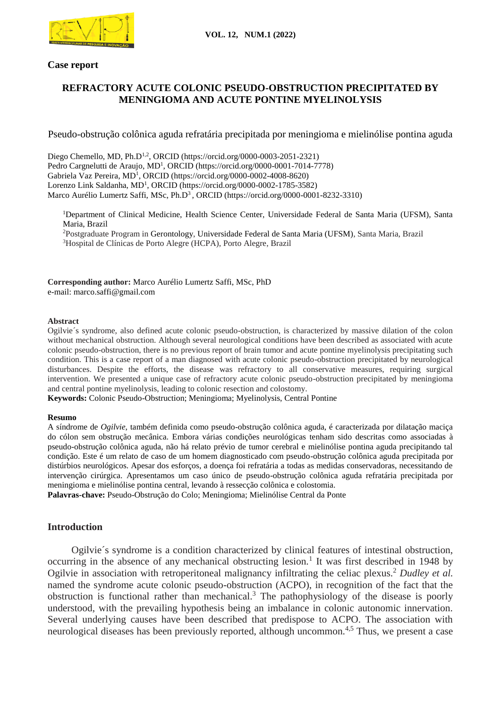

# **Case report**

# **REFRACTORY ACUTE COLONIC PSEUDO-OBSTRUCTION PRECIPITATED BY MENINGIOMA AND ACUTE PONTINE MYELINOLYSIS**

Pseudo-obstrução colônica aguda refratária precipitada por meningioma e mielinólise pontina aguda

Diego Chemello, MD, Ph.D<sup>1,2</sup>, ORCID (https://orcid.org/0000-0003-2051-2321) Pedro Cargnelutti de Araujo, MD<sup>1</sup>, ORCID (https://orcid.org/0000-0001-7014-7778) Gabriela Vaz Pereira, MD<sup>1</sup>, ORCID (https://orcid.org/0000-0002-4008-8620) Lorenzo Link Saldanha, MD<sup>1</sup>, ORCID (https://orcid.org/0000-0002-1785-3582) Marco Aurélio Lumertz Saffi, MSc, Ph.D<sup>3</sup>, ORCID (https://orcid.org/0000-0001-8232-3310)

Department of Clinical Medicine, Health Science Center, Universidade Federal de Santa Maria (UFSM), Santa Maria, Brazil Postgraduate Program in Gerontology, Universidade Federal de Santa Maria (UFSM), Santa Maria, Brazil Hospital de Clínicas de Porto Alegre (HCPA), Porto Alegre, Brazil

**Corresponding author:** Marco Aurélio Lumertz Saffi, MSc, PhD e-mail: marco.saffi@gmail.com

### **Abstract**

Ogilvie´s syndrome, also defined acute colonic pseudo-obstruction, is characterized by massive dilation of the colon without mechanical obstruction. Although several neurological conditions have been described as associated with acute colonic pseudo-obstruction, there is no previous report of brain tumor and acute pontine myelinolysis precipitating such condition. This is a case report of a man diagnosed with acute colonic pseudo-obstruction precipitated by neurological disturbances. Despite the efforts, the disease was refractory to all conservative measures, requiring surgical intervention. We presented a unique case of refractory acute colonic pseudo-obstruction precipitated by meningioma and central pontine myelinolysis, leading to colonic resection and colostomy.

**Keywords:** Colonic Pseudo-Obstruction; Meningioma; Myelinolysis, Central Pontine

#### **Resumo**

A síndrome de *Ogilvie*, também definida como pseudo-obstrução colônica aguda, é caracterizada por dilatação maciça do cólon sem obstrução mecânica. Embora várias condições neurológicas tenham sido descritas como associadas à pseudo-obstrução colônica aguda, não há relato prévio de tumor cerebral e mielinólise pontina aguda precipitando tal condição. Este é um relato de caso de um homem diagnosticado com pseudo-obstrução colônica aguda precipitada por distúrbios neurológicos. Apesar dos esforços, a doença foi refratária a todas as medidas conservadoras, necessitando de intervenção cirúrgica. Apresentamos um caso único de pseudo-obstrução colônica aguda refratária precipitada por meningioma e mielinólise pontina central, levando à ressecção colônica e colostomia.

**Palavras-chave:** Pseudo-Obstrução do Colo; Meningioma; Mielinólise Central da Ponte

## **Introduction**

Ogilvie´s syndrome is a condition characterized by clinical features of intestinal obstruction, occurring in the absence of any mechanical obstructing lesion.<sup>1</sup> It was first described in 1948 by Ogilvie in association with retroperitoneal malignancy infiltrating the celiac plexus.<sup>2</sup> *Dudley et al.* named the syndrome acute colonic pseudo-obstruction (ACPO), in recognition of the fact that the obstruction is functional rather than mechanical.<sup>3</sup> The pathophysiology of the disease is poorly understood, with the prevailing hypothesis being an imbalance in colonic autonomic innervation. Several underlying causes have been described that predispose to ACPO. The association with neurological diseases has been previously reported, although uncommon.<sup>4,5</sup> Thus, we present a case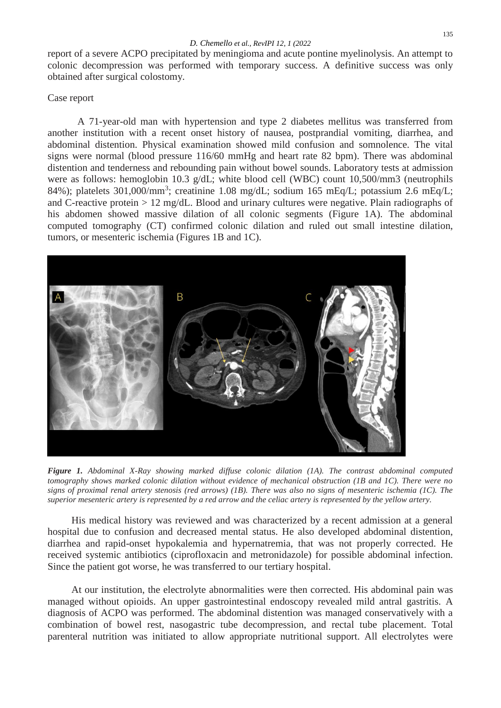report of a severe ACPO precipitated by meningioma and acute pontine myelinolysis. An attempt to colonic decompression was performed with temporary success. A definitive success was only obtained after surgical colostomy.

# Case report

A 71-year-old man with hypertension and type 2 diabetes mellitus was transferred from another institution with a recent onset history of nausea, postprandial vomiting, diarrhea, and abdominal distention. Physical examination showed mild confusion and somnolence. The vital signs were normal (blood pressure 116/60 mmHg and heart rate 82 bpm). There was abdominal distention and tenderness and rebounding pain without bowel sounds. Laboratory tests at admission were as follows: hemoglobin 10.3 g/dL; white blood cell (WBC) count 10,500/mm3 (neutrophils 84%); platelets 301,000/mm<sup>3</sup>; creatinine 1.08 mg/dL; sodium 165 mEq/L; potassium 2.6 mEq/L; and C-reactive protein  $> 12 \text{ mg/dL}$ . Blood and urinary cultures were negative. Plain radiographs of his abdomen showed massive dilation of all colonic segments (Figure 1A). The abdominal computed tomography (CT) confirmed colonic dilation and ruled out small intestine dilation, tumors, or mesenteric ischemia (Figures 1B and 1C).



*Figure 1. Abdominal X-Ray showing marked diffuse colonic dilation (1A). The contrast abdominal computed tomography shows marked colonic dilation without evidence of mechanical obstruction (1B and 1C). There were no signs of proximal renal artery stenosis (red arrows) (1B). There was also no signs of mesenteric ischemia (1C). The superior mesenteric artery is represented by a red arrow and the celiac artery is represented by the yellow artery.* 

His medical history was reviewed and was characterized by a recent admission at a general hospital due to confusion and decreased mental status. He also developed abdominal distention, diarrhea and rapid-onset hypokalemia and hypernatremia, that was not properly corrected. He received systemic antibiotics (ciprofloxacin and metronidazole) for possible abdominal infection. Since the patient got worse, he was transferred to our tertiary hospital.

At our institution, the electrolyte abnormalities were then corrected. His abdominal pain was managed without opioids. An upper gastrointestinal endoscopy revealed mild antral gastritis. A diagnosis of ACPO was performed. The abdominal distention was managed conservatively with a combination of bowel rest, nasogastric tube decompression, and rectal tube placement. Total parenteral nutrition was initiated to allow appropriate nutritional support. All electrolytes were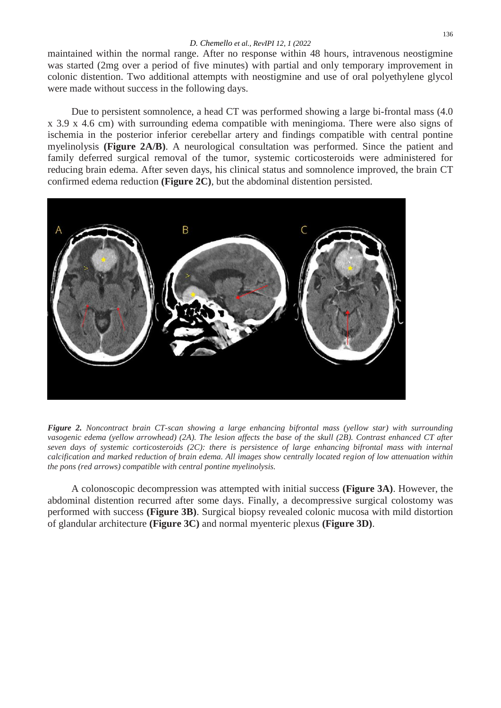maintained within the normal range. After no response within 48 hours, intravenous neostigmine was started (2mg over a period of five minutes) with partial and only temporary improvement in colonic distention. Two additional attempts with neostigmine and use of oral polyethylene glycol were made without success in the following days.

Due to persistent somnolence, a head CT was performed showing a large bi-frontal mass (4.0 x 3.9 x 4.6 cm) with surrounding edema compatible with meningioma. There were also signs of ischemia in the posterior inferior cerebellar artery and findings compatible with central pontine myelinolysis **(Figure 2A/B)**. A neurological consultation was performed. Since the patient and family deferred surgical removal of the tumor, systemic corticosteroids were administered for reducing brain edema. After seven days, his clinical status and somnolence improved, the brain CT confirmed edema reduction **(Figure 2C)**, but the abdominal distention persisted.



*Figure 2. Noncontract brain CT-scan showing a large enhancing bifrontal mass (yellow star) with surrounding vasogenic edema (yellow arrowhead) (2A). The lesion affects the base of the skull (2B). Contrast enhanced CT after seven days of systemic corticosteroids (2C): there is persistence of large enhancing bifrontal mass with internal calcification and marked reduction of brain edema. All images show centrally located region of low attenuation within the pons (red arrows) compatible with central pontine myelinolysis.*

A colonoscopic decompression was attempted with initial success **(Figure 3A)**. However, the abdominal distention recurred after some days. Finally, a decompressive surgical colostomy was performed with success **(Figure 3B)**. Surgical biopsy revealed colonic mucosa with mild distortion of glandular architecture **(Figure 3C)** and normal myenteric plexus **(Figure 3D)**.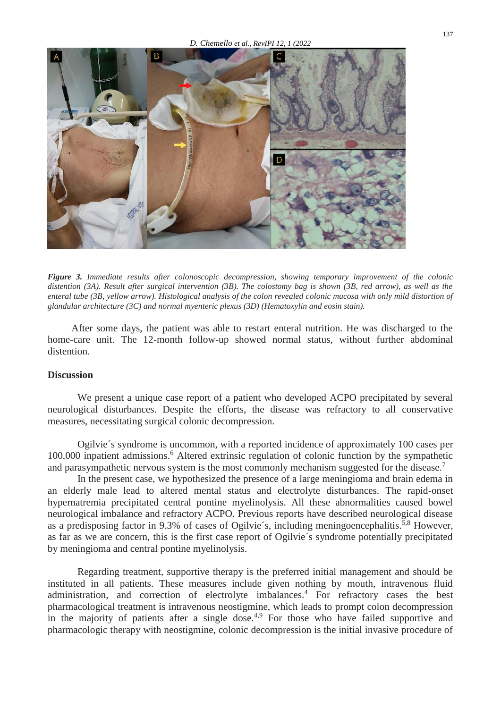

*Figure 3. Immediate results after colonoscopic decompression, showing temporary improvement of the colonic distention (3A). Result after surgical intervention (3B). The colostomy bag is shown (3B, red arrow), as well as the enteral tube (3B, yellow arrow). Histological analysis of the colon revealed colonic mucosa with only mild distortion of glandular architecture (3C) and normal myenteric plexus (3D) (Hematoxylin and eosin stain).* 

After some days, the patient was able to restart enteral nutrition. He was discharged to the home-care unit. The 12-month follow-up showed normal status, without further abdominal distention.

## **Discussion**

We present a unique case report of a patient who developed ACPO precipitated by several neurological disturbances. Despite the efforts, the disease was refractory to all conservative measures, necessitating surgical colonic decompression.

Ogilvie´s syndrome is uncommon, with a reported incidence of approximately 100 cases per 100,000 inpatient admissions. <sup>6</sup> Altered extrinsic regulation of colonic function by the sympathetic and parasympathetic nervous system is the most commonly mechanism suggested for the disease.<sup>7</sup>

In the present case, we hypothesized the presence of a large meningioma and brain edema in an elderly male lead to altered mental status and electrolyte disturbances. The rapid-onset hypernatremia precipitated central pontine myelinolysis. All these abnormalities caused bowel neurological imbalance and refractory ACPO. Previous reports have described neurological disease as a predisposing factor in 9.3% of cases of Ogilvie's, including meningoencephalitis.<sup>5,8</sup> However, as far as we are concern, this is the first case report of Ogilvie´s syndrome potentially precipitated by meningioma and central pontine myelinolysis.

Regarding treatment, supportive therapy is the preferred initial management and should be instituted in all patients. These measures include given nothing by mouth, intravenous fluid administration, and correction of electrolyte imbalances.<sup>4</sup> For refractory cases the best pharmacological treatment is intravenous neostigmine, which leads to prompt colon decompression in the majority of patients after a single dose.<sup>4,9</sup> For those who have failed supportive and pharmacologic therapy with neostigmine, colonic decompression is the initial invasive procedure of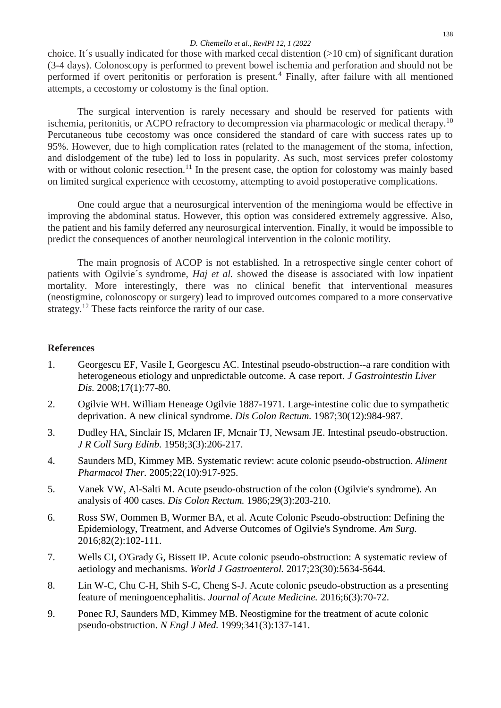## *D. Chemello et al., RevIPI 12, 1 (2022*

choice. It´s usually indicated for those with marked cecal distention (>10 cm) of significant duration (3-4 days). Colonoscopy is performed to prevent bowel ischemia and perforation and should not be performed if overt peritonitis or perforation is present.<sup>4</sup> Finally, after failure with all mentioned attempts, a cecostomy or colostomy is the final option.

The surgical intervention is rarely necessary and should be reserved for patients with ischemia, peritonitis, or ACPO refractory to decompression via pharmacologic or medical therapy.<sup>10</sup> Percutaneous tube cecostomy was once considered the standard of care with success rates up to 95%. However, due to high complication rates (related to the management of the stoma, infection, and dislodgement of the tube) led to loss in popularity. As such, most services prefer colostomy with or without colonic resection.<sup>11</sup> In the present case, the option for colostomy was mainly based on limited surgical experience with cecostomy, attempting to avoid postoperative complications.

One could argue that a neurosurgical intervention of the meningioma would be effective in improving the abdominal status. However, this option was considered extremely aggressive. Also, the patient and his family deferred any neurosurgical intervention. Finally, it would be impossible to predict the consequences of another neurological intervention in the colonic motility.

The main prognosis of ACOP is not established. In a retrospective single center cohort of patients with Ogilvie´s syndrome, *Haj et al.* showed the disease is associated with low inpatient mortality. More interestingly, there was no clinical benefit that interventional measures (neostigmine, colonoscopy or surgery) lead to improved outcomes compared to a more conservative strategy.<sup>12</sup> These facts reinforce the rarity of our case.

# **References**

- 1. Georgescu EF, Vasile I, Georgescu AC. Intestinal pseudo-obstruction--a rare condition with heterogeneous etiology and unpredictable outcome. A case report. *J Gastrointestin Liver Dis.* 2008;17(1):77-80.
- 2. Ogilvie WH. William Heneage Ogilvie 1887-1971. Large-intestine colic due to sympathetic deprivation. A new clinical syndrome. *Dis Colon Rectum.* 1987;30(12):984-987.
- 3. Dudley HA, Sinclair IS, Mclaren IF, Mcnair TJ, Newsam JE. Intestinal pseudo-obstruction. *J R Coll Surg Edinb.* 1958;3(3):206-217.
- 4. Saunders MD, Kimmey MB. Systematic review: acute colonic pseudo-obstruction. *Aliment Pharmacol Ther.* 2005;22(10):917-925.
- 5. Vanek VW, Al-Salti M. Acute pseudo-obstruction of the colon (Ogilvie's syndrome). An analysis of 400 cases. *Dis Colon Rectum.* 1986;29(3):203-210.
- 6. Ross SW, Oommen B, Wormer BA, et al. Acute Colonic Pseudo-obstruction: Defining the Epidemiology, Treatment, and Adverse Outcomes of Ogilvie's Syndrome. *Am Surg.*  2016;82(2):102-111.
- 7. Wells CI, O'Grady G, Bissett IP. Acute colonic pseudo-obstruction: A systematic review of aetiology and mechanisms. *World J Gastroenterol.* 2017;23(30):5634-5644.
- 8. Lin W-C, Chu C-H, Shih S-C, Cheng S-J. Acute colonic pseudo-obstruction as a presenting feature of meningoencephalitis. *Journal of Acute Medicine.* 2016;6(3):70-72.
- 9. Ponec RJ, Saunders MD, Kimmey MB. Neostigmine for the treatment of acute colonic pseudo-obstruction. *N Engl J Med.* 1999;341(3):137-141.